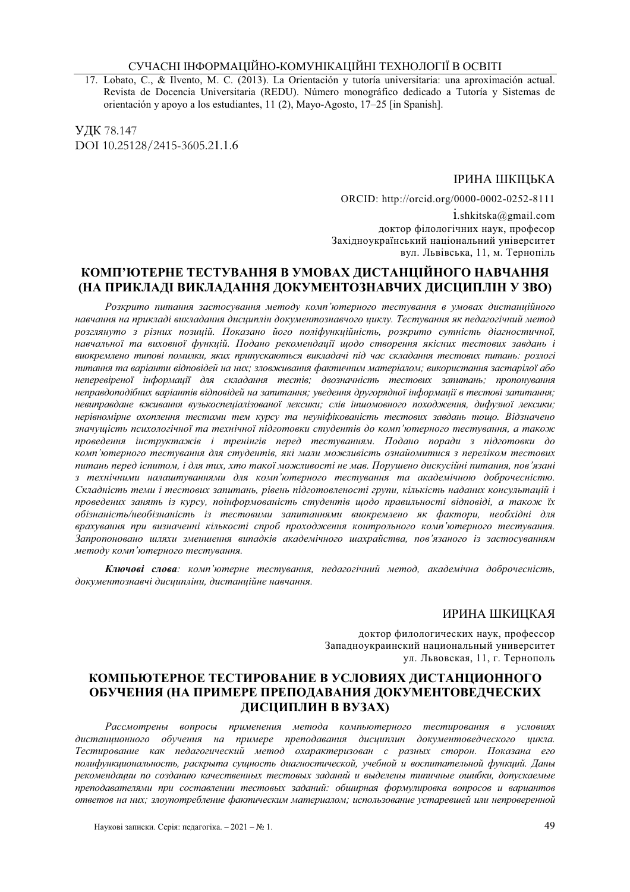17. Lobato, C., & Ilvento, M. C. (2013). La Orientación y tutoría universitaria: una aproximación actual. Revista de Docencia Universitaria (REDU). Número monográfico dedicado a Tutoría y Sistemas de orientación y apoyo a los estudiantes, 11 (2), Mayo-Agosto, 17–25 [in Spanish].

УДК 78.147 DOI 10.25128/2415-3605.21.1.6

#### ІРИНА ШКІЦЬКА

ORCID: http://orcid.org/0000-0002-0252-8111

 $1.$ shkitska@gmail.com доктор філологічних наук, професор Захілноукраїнський національний університет вул. Львівська, 11, м. Тернопіль

## КОМП'ЮТЕРНЕ ТЕСТУВАННЯ В УМОВАХ ДИСТАНЦІЙНОГО НАВЧАННЯ (НА ПРИКЛАДІ ВИКЛАДАННЯ ДОКУМЕНТОЗНАВЧИХ ДИСЦИПЛІН У ЗВО)

Розкрито питання застосування методу комп'ютерного тестування в умовах дистанційного навчання на прикладі викладання дисциплін документознавчого циклу. Тестування як педагогічний метод розглянуто з різних позицій. Показано його поліфункційність, розкрито сутність діагностичної, навчальної та виховної функцій. Подано рекомендації щодо створення якісних тестових завдань і виокремлено типові помилки, яких припускаються викладачі під час складання тестових питань: розлогі питання та варіанти відповідей на них; зловживання фактичним матеріалом; використання застарілої або неперевіреної інформації для складання тестів; двозначність тестових запитань; пропонування неправдоподібних варіантів відповідей на запитання; уведення другорядної інформації в тестові запитання; невиправдане вживання вузькоспеціалізованої лексики: слів іншомовного походження. дифузної лексики: нерівномірне охоплення тестами тем курсу та неуніфікованість тестових завдань тощо. Відзначено значущість психологічної та технічної підготовки студентів до комп'ютерного тестування, а також проведення інструктажів і тренінгів перед тестуванням. Подано поради з підготовки до комп'ютерного тестування для студентів, які мали можливість ознайомитися з переліком тестових питань перед іспитом, і для тих, хто такої можливості не мав. Порушено дискусійні питання, пов'язані з технічними налаштуваннями для комп'ютерного тестування та академічною доброчесністю. Складність теми і тестових запитань, рівень підготовленості групи, кількість наданих консультацій і проведених занять із курсу, поінформованість студентів щодо правильності відповіді, а також їх обізнаність/необізнаність із тестовими запитаннями виокремлено як фактори, необхідні для врахування при визначенні кількості спроб проходження контрольного комп'ютерного тестування. Запропоновано шляхи зменшення випадків академічного шахрайства, пов'язаного із застосуванням методу комп'ютерного тестування.

Ключові слова: комп'ютерне тестування, педагогічний метод, академічна доброчесність, документознавчі дисципліни, дистанційне навчання.

### ИРИНА ШКИЦКАЯ

локтор филологических наук, профессор Запалноукраинский национальный университет ул. Львовская, 11, г. Тернополь

# КОМПЬЮТЕРНОЕ ТЕСТИРОВАНИЕ В УСЛОВИЯХ ДИСТАНЦИОННОГО ОБУЧЕНИЯ (НА ПРИМЕРЕ ПРЕПОДАВАНИЯ ДОКУМЕНТОВЕДЧЕСКИХ ДИСЦИПЛИН В ВУЗАХ)

Рассмотрены вопросы применения метода компьютерного тестирования в условиях дистанционного обучения на примере преподавания дисциплин документоведческого цикла. Тестирование как педагогический метод охарактеризован с разных сторон. Показана его полифункциональность, раскрыта сущность диагностической, учебной и воспитательной функций. Даны рекомендации по созданию качественных тестовых заданий и выделены типичные ошибки, допускаемые преподавателями при составлении тестовых заданий: обширная формулировка вопросов и вариантов ответов на них; злоупотребление фактическим материалом; использование устаревшей или непроверенной

Наукові записки. Серія: педагогіка. - 2021 - № 1.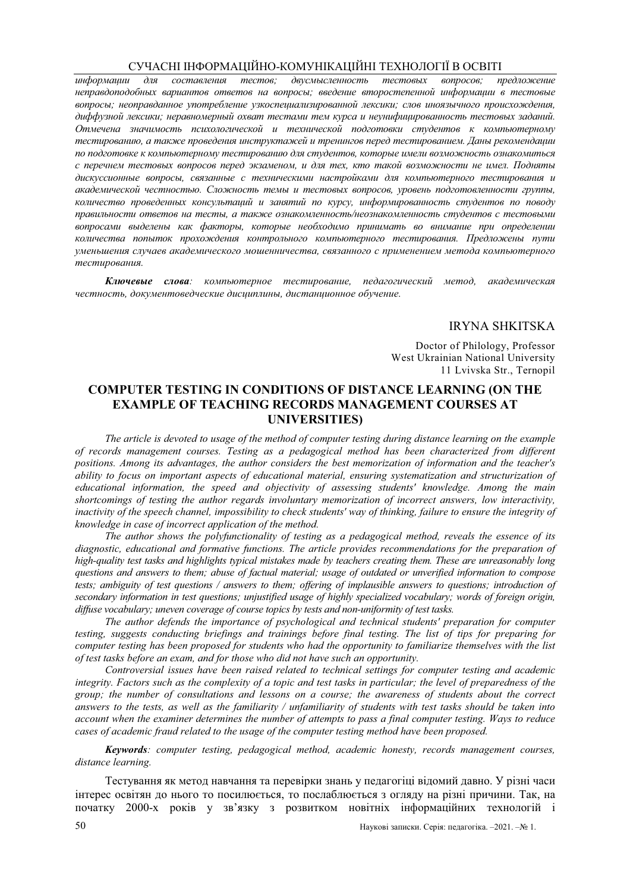предложение информаши  $\partial_{\mathcal{R}}$ составления тестов; двусмысленность тестовых вопросов; неправдоподобных вариантов ответов на вопросы; введение второстепенной информации в тестовые вопросы; неоправданное употребление узкоспециализированной лексики; слов иноязычного происхождения, диффузной лексики; неравномерный охват тестами тем курса и неунифицированность тестовых заданий. Отмечена значимость психологической и технической подготовки студентов к компьютерному тестированию, а также проведения инструктажей и тренингов перед тестированием. Даны рекомендации по подготовке к компьютерному тестированию для студентов, которые имели возможность ознакомиться с перечнем тестовых вопросов перед экзаменом, и для тех, кто такой возможности не имел. Подняты дискуссионные вопросы, связанные с техническими настройками для компьютерного тестирования и академической честностью. Сложность темы и тестовых вопросов, уровень подготовленности группы, количество проведенных консультаций и занятий по курсу, информированность студентов по поводу правильности ответов на тесты, а также ознакомленность/неознакомленность студентов с тестовыми вопросами выделены как факторы, которые необходимо принимать во внимание при определении количества попыток прохождения контрольного компьютерного тестирования. Предложены пути уменьшения случаев академического мошенничества, связанного с применением метода компьютерного тестирования.

Ключевые слова: компьютерное тестирование, педагогический метод, академическая честность, документоведческие дисциплины, дистанционное обучение.

#### **IRYNA SHKITSKA**

Doctor of Philology, Professor West Ukrainian National University 11 Lyivska Str., Ternopil

# **COMPUTER TESTING IN CONDITIONS OF DISTANCE LEARNING (ON THE EXAMPLE OF TEACHING RECORDS MANAGEMENT COURSES AT UNIVERSITIES**

The article is devoted to usage of the method of computer testing during distance learning on the example of records management courses. Testing as a pedagogical method has been characterized from different positions. Among its advantages, the author considers the best memorization of information and the teacher's ability to focus on important aspects of educational material, ensuring systematization and structurization of educational information, the speed and objectivity of assessing students' knowledge. Among the main shortcomings of testing the author regards involuntary memorization of incorrect answers, low interactivity, inactivity of the speech channel, impossibility to check students' way of thinking, failure to ensure the integrity of knowledge in case of incorrect application of the method.

The author shows the polyfunctionality of testing as a pedagogical method, reveals the essence of its diagnostic, educational and formative functions. The article provides recommendations for the preparation of high-quality test tasks and highlights typical mistakes made by teachers creating them. These are unreasonably long questions and answers to them; abuse of factual material; usage of outdated or unverified information to compose tests; ambiguity of test questions / answers to them; offering of implausible answers to questions; introduction of secondary information in test questions; unjustified usage of highly specialized vocabulary; words of foreign origin, diffuse vocabulary; uneven coverage of course topics by tests and non-uniformity of test tasks.

The author defends the importance of psychological and technical students' preparation for computer testing, suggests conducting briefings and trainings before final testing. The list of tips for preparing for computer testing has been proposed for students who had the opportunity to familiarize themselves with the list of test tasks before an exam, and for those who did not have such an opportunity.

Controversial issues have been raised related to technical settings for computer testing and academic integrity. Factors such as the complexity of a topic and test tasks in particular; the level of preparedness of the group; the number of consultations and lessons on a course; the awareness of students about the correct  $\frac{1}{2}$  answers to the tests, as well as the familiarity / unfamiliarity of students with test tasks should be taken into account when the examiner determines the number of attempts to pass a final computer testing. Ways to reduce cases of academic fraud related to the usage of the computer testing method have been proposed.

**Keywords**: computer testing, pedagogical method, academic honesty, records management courses, distance learning.

Тестування як метод навчання та перевірки знань у педагогіці відомий давно. У різні часи інтерес освітян до нього то посилюється, то послаблюється з огляду на різні причини. Так, на початку 2000-х років у зв'язку з розвитком новітніх інформаційних технологій і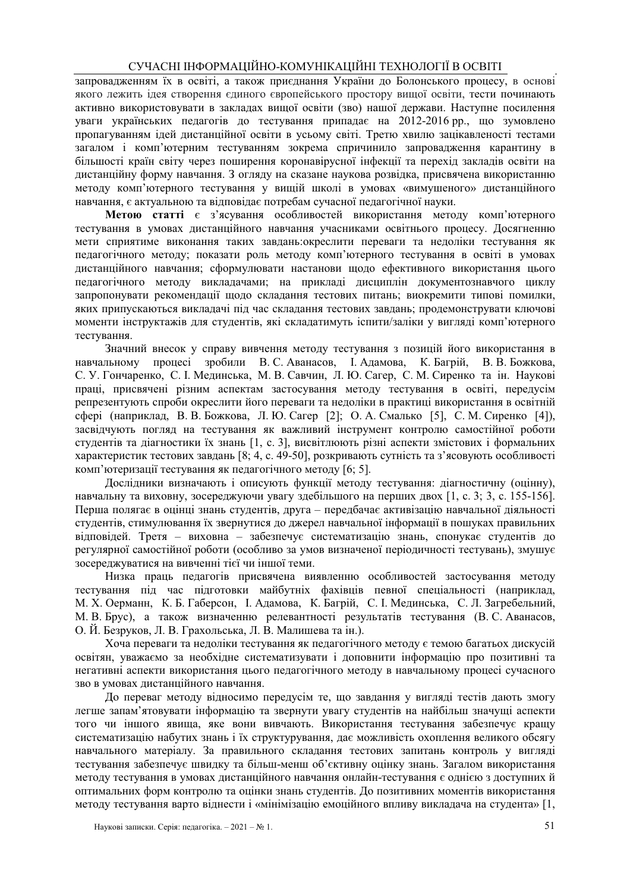запровалженням їх в освіті, а також приєлнання України до Болонського процесу, в основі якого лежить ідея створення єдиного європейського простору вищої освіти, тести починають активно використовувати в закладах вищої освіти (зво) нашої держави. Наступне посилення уваги українських педагогів до тестування припадає на 2012-2016 рр., що зумовлено пропагуванням ідей дистанційної освіти в усьому світі. Третю хвилю зацікавленості тестами загалом і комп'ютерним тестуванням зокрема спричинило запровадження карантину в більшості країн світу через поширення коронавірусної інфекції та перехід закладів освіти на дистанційну форму навчання. З огляду на сказане наукова розвідка, присвячена використанню методу комп'ютерного тестування у вищій школі в умовах «вимушеного» дистанційного навчання, є актуальною та відповідає потребам сучасної педагогічної науки.

Метою статті є з'ясування особливостей використання методу комп'ютерного тестування в умовах дистанційного навчання учасниками освітнього процесу. Досягненню мети сприятиме виконання таких завдань:окреслити переваги та недоліки тестування як педагогічного методу; показати роль методу комп'ютерного тестування в освіті в умовах дистанційного навчання; сформулювати настанови щодо ефективного використання цього педагогічного методу викладачами; на прикладі дисциплін документознавчого циклу запропонувати рекомендації щодо складання тестових питань; виокремити типові помилки, яких припускаються викладачі під час складання тестових завдань; продемонструвати ключові моменти інструктажів для студентів, які складатимуть іспити/заліки у вигляді комп'ютерного тестування.

Значний внесок у справу вивчення методу тестування з позицій його використання в процесі зробили В. С. Аванасов, І. Адамова, К. Багрій, В. В. Божкова, навчальному С. У. Гончаренко, С. І. Мединська, М. В. Савчин, Л. Ю. Сагер, С. М. Сиренко та ін. Наукові праці, присвячені різним аспектам застосування метолу тестування в освіті, перелусім репрезентують спроби окреслити його переваги та нелоліки в практиці використання в освітній сфері (наприклад, В. В. Божкова, Л. Ю. Сагер [2]; О. А. Смалько [5], С. М. Сиренко [4]), засвідчують погляд на тестування як важливий інструмент контролю самостійної роботи студентів та діагностики їх знань [1, с. 3], висвітлюють різні аспекти змістових і формальних характеристик тестових завдань [8; 4, с. 49-50], розкривають сутність та з'ясовують особливості комп'ютеризації тестування як педагогічного методу [6; 5].

Дослідники визначають і описують функції методу тестування: діагностичну (оцінну), навчальну та виховну, зосереджуючи увагу здебільшого на перших двох [1, с, 3; 3, с, 155-156]. Перша полягає в оцінці знань студентів, друга - передбачає активізацію навчальної діяльності студентів, стимулювання їх звернутися до джерел навчальної інформації в пошуках правильних відповідей. Третя - виховна - забезпечує систематизацію знань, спонукає студентів до регулярної самостійної роботи (особливо за умов визначеної періодичності тестувань), змушує зосереджуватися на вивченні тієї чи іншої теми.

Низка прашь пелагогів присвячена виявленню особливостей застосування метолу тестування під час підготовки майбутніх фахівців певної спеціальності (наприклад, М. Х. Оерманн, К. Б. Габерсон, І. Адамова, К. Багрій, С. І. Мединська, С. Л. Загребельний, М. В. Брус), а також визначенню релевантності результатів тестування (В. С. Аванасов, О. Й. Безруков, Л. В. Грахольська, Л. В. Малишева та ін.).

Хоча переваги та недоліки тестування як педагогічного методу є темою багатьох дискусій освітян, уважаємо за необхілне систематизувати і лоповнити інформацію про позитивні та негативні аспекти використання цього педагогічного методу в навчальному процесі сучасного зво в умовах листанційного навчання.

До переваг методу відносимо передусім те, що завдання у вигляді тестів дають змогу легше запам'ятовувати інформацію та звернути увагу студентів на найбільш значущі аспекти того чи іншого явища, яке вони вивчають. Використання тестування забезпечує кращу систематизацію набутих знань і їх структурування, дає можливість охоплення великого обсягу навчального матеріалу. За правильного складання тестових запитань контроль у вигляді тестування забезпечує швидку та більш-менш об'єктивну оцінку знань. Загалом використання методу тестування в умовах дистанційного навчання онлайн-тестування є однією з доступних й оптимальних форм контролю та оцінки знань студентів. До позитивних моментів використання методу тестування варто віднести і «мінімізацію емоційного впливу викладача на студента» [1,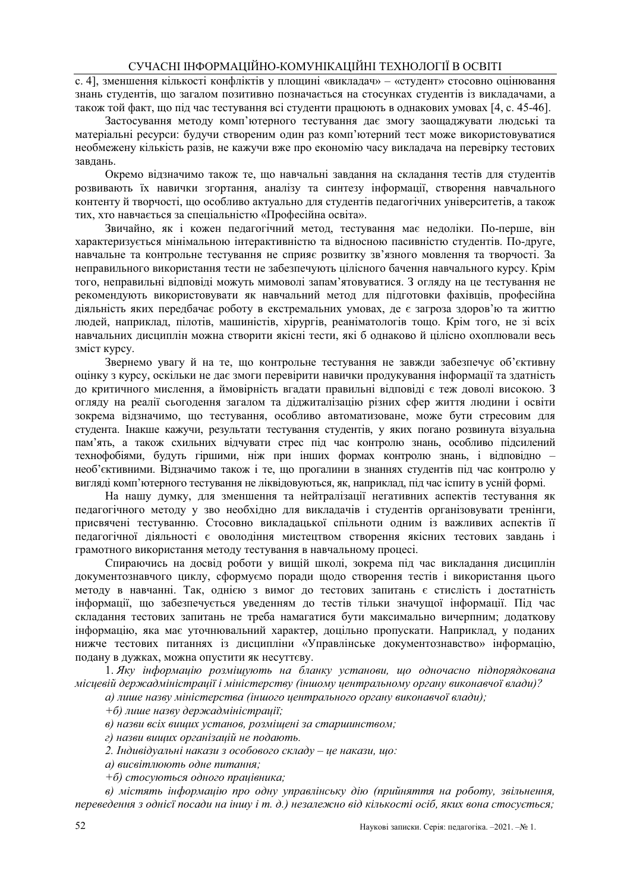с. 41. зменшення кількості конфліктів у плошині «виклалач» – «стулент» стосовно оцінювання знань студентів, що загалом позитивно позначається на стосунках студентів із викладачами, а також той факт, що під час тестування всі студенти працюють в однакових умовах [4, с. 45-46].

Застосування методу комп'ютерного тестування дає змогу заощаджувати людські та матеріальні ресурси: будучи створеним один раз комп'ютерний тест може використовуватися необмежену кількість разів, не кажучи вже про економію часу викладача на перевірку тестових завлань.

Окремо відзначимо також те, що навчальні завдання на складання тестів для студентів розвивають їх навички згортання, аналізу та синтезу інформації, створення навчального контенту й творчості, що особливо актуально для студентів педагогічних університетів, а також тих, хто навчається за спеціальністю «Професійна освіта».

Звичайно, як і кожен педагогічний метод, тестування має недоліки. По-перше, він характеризується мінімальною інтерактивністю та відносною пасивністю студентів. По-друге, навчальне та контрольне тестування не сприяє розвитку зв'язного мовлення та творчості. За неправильного використання тести не забезпечують цілісного бачення навчального курсу. Крім того, неправильні відповіді можуть мимоволі запам'ятовуватися. З огляду на це тестування не рекомендують використовувати як навчальний метод для підготовки фахівців, професійна діяльність яких передбачає роботу в екстремальних умовах, де є загроза здоров'ю та життю людей, наприклад, пілотів, машиністів, хірургів, реаніматологів тощо. Крім того, не зі всіх навчальних дисциплін можна створити якісні тести, які б однаково й цілісно охоплювали весь зміст курсу.

Звернемо увагу й на те, що контрольне тестування не завжди забезпечує об'єктивну оцінку з курсу, оскільки не дає змоги перевірити навички продукування інформації та здатність ло критичного мислення, а ймовірність вгалати правильні вілповілі є теж ловолі високою. З огляду на реалії сьогодення загалом та ділжиталізацію різних сфер життя людини і освіти зокрема відзначимо, що тестування, особливо автоматизоване, може бути стресовим для студента. Інакше кажучи, результати тестування студентів, у яких погано розвинута візуальна пам'ять, а також схильних відчувати стрес під час контролю знань, особливо підсилений технофобіями, будуть гіршими, ніж при інших формах контролю знань, і відповідно необ'єктивними. Відзначимо також і те, що прогалини в знаннях студентів під час контролю у виглялі комп'ютерного тестування не ліквіловуються, як, наприклал, піл час іспиту в усній формі.

На нашу думку, для зменшення та нейтралізації негативних аспектів тестування як педагогічного методу у зво необхідно для викладачів і студентів організовувати тренінги, присвячені тестуванню. Стосовно викладацької спільноти одним із важливих аспектів її педагогічної діяльності є оволодіння мистецтвом створення якісних тестових завдань і грамотного використання методу тестування в навчальному процесі.

Спираючись на досвід роботи у вищій школі, зокрема під час викладання дисциплін локументознавчого циклу, сформуємо порали шоло створення тестів і використання цього методу в навчанні. Так, однією з вимог до тестових запитань є стислість і достатність інформації, що забезпечується увеленням до тестів тільки значущої інформації. Під час складання тестових запитань не треба намагатися бути максимально вичерпним; додаткову інформацію, яка має уточнювальний характер, доцільно пропускати. Наприклад, у поданих нижче тестових питаннях із дисципліни «Управлінське документознавство» інформацію, подану в дужках, можна опустити як несуттєву.

1. Яку інформацію розміщують на бланку установи, що одночасно підпорядкована місиевій держадміністрації і міністерству (іншому иентральному органу виконавчої влади)?

а) лише назву міністерства (іншого центрального органу виконавчої влади);

 $+6$ ) лише назву держадміністрації;

в) назви всіх вищих установ, розміщені за старшинством;

г) назви виших організацій не подають.

2. Індивідуальні накази з особового складу – це накази, що:

а) висвітлюють одне питання:

 $+6$ ) стосуються одного працівника;

в) містять інформацію про одну управлінську дію (прийняття на роботу, звільнення, переведення з однієї посади на іншу і т. д.) незалежно від кількості осіб, яких вона стосується;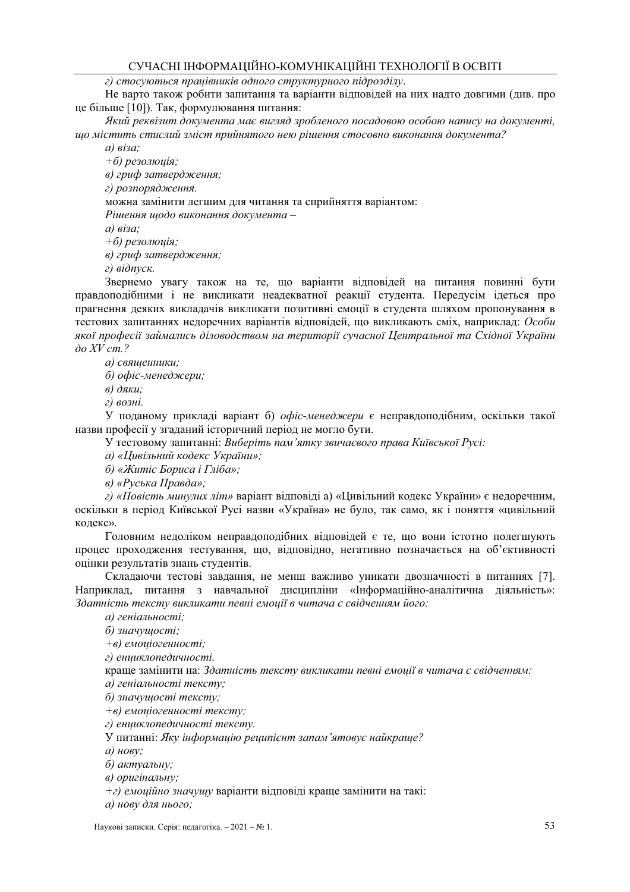г) стосуються працівників одного структурного підрозділу.

Не варто також робити запитання та варіанти відповідей на них надто довгими (див. про це більше [10]). Так, формулювання питання:

Який реквізит документа має вигляд зробленого посадовою особою напису на документі, шо містить стислий зміст прийнятого нею рішення стосовно виконання документа?

 $a)$   $\epsilon$ *isa*:

 $+6$ ) резолюція;

в) гриф затвердження;

г) розпорядження.

можна замінити легшим для читання та сприйняття варіантом:

Рішення шодо виконання документа -

 $a)$   $\epsilon$ *isa*:

 $+6$ ) резолюція;

в) гриф затвердження;

г) відпуск.

Звернемо увагу також на те, що варіанти відповідей на питання повинні бути правдоподібними і не викликати неадекватної реакції студента. Передусім ідеться про прагнення деяких викладачів викликати позитивні емоції в студента шляхом пропонування в тестових запитаннях недоречних варіантів відповідей, що викликають сміх, наприклад: Особи якої професії займались діловодством на території сучасної Центральної та Східної України  $\partial$ o XV cm.?

а) священники;

б) офіс-менеджери;

в) дяки:

г) возні.

У поданому прикладі варіант б) *офіс-менеджери* є неправдоподібним, оскільки такої назви професії у згаданий історичний період не могло бути.

У тестовому запитанні: Виберіть пам'ятку звичаєвого права Київської Русі:

а) «Цивільний кодекс України»;

б) «Житіє Бориса і Гліба»;

в) «Руська Правда»:

г) «Повість минулих літ» варіант вілповілі а) «Цивільний колекс України» є нелоречним. оскільки в період Київської Русі назви «Україна» не було, так само, як і поняття «цивільний кодекс».

Головним недоліком неправдоподібних відповідей є те, що вони істотно полегшують процес проходження тестування, що, відповідно, негативно позначається на об'єктивності оцінки результатів знань студентів.

Складаючи тестові завдання, не менш важливо уникати двозначності в питаннях [7]. Наприклад, питання з навчальної дисципліни «Інформаційно-аналітична діяльність»: Здатність тексту викликати певні емоції в читача є свідченням його:

а) геніальності;

б) значушості:

+в) емоиіогенності:

г) енииклопедичності.

краще замінити на: Здатність тексту викликати певні емоції в читача є свідченням: а) геніальності тексту:

б) значущості тексту;

+в) емоціогенності тексту;

г) енциклопедичності тексту.

У питанні: Яку інформацію реципієнт запам'ятовує найкраше?

 $a)$  нову;

б) актуальну;

в) оригінальну;

 $+$ г) емоційно значущу варіанти відповіді краще замінити на такі:

а) нову для нього;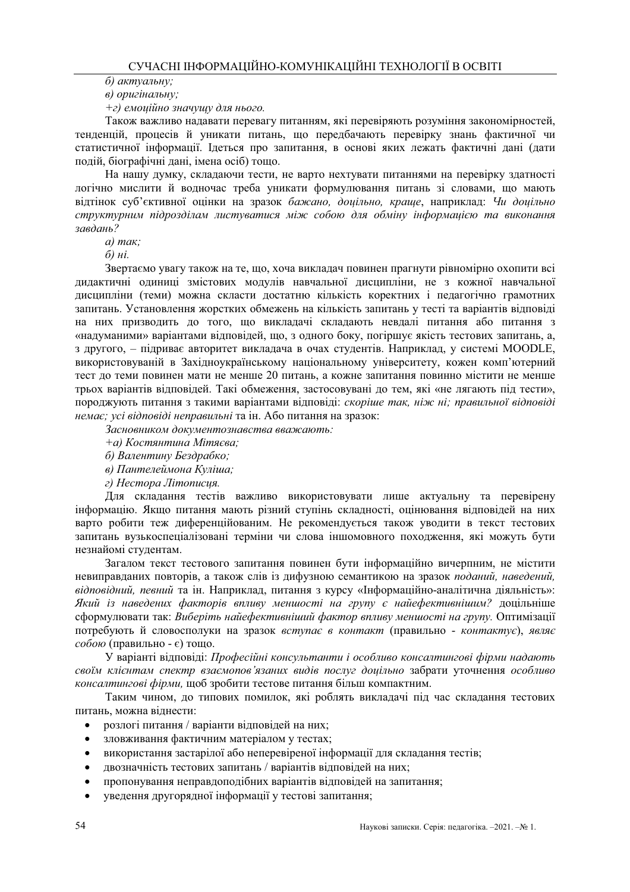б) актуальну:

в) оригінальну:

 $+$ г) емоиійно значушу для нього.

Також важливо надавати перевагу питанням, які перевіряють розуміння закономірностей, тенденцій, процесів й уникати питань, що передбачають перевірку знань фактичної чи статистичної інформації. Ідеться про запитання, в основі яких лежать фактичні дані (дати подій, біографічні дані, імена осіб) тощо.

На нашу думку, складаючи тести, не варто нехтувати питаннями на перевірку здатності логічно мислити й водночас треба уникати формулювання питань зі словами, що мають відтінок суб'єктивної оцінки на зразок бажано, доцільно, краще, наприклад: Чи доцільно структурним підрозділам листуватися між собою для обміну інформацією та виконання завдань?

 $a)$  mak:

 $\tilde{\omega}$   $\mu i$ .

Звертаємо увагу також на те, що, хоча викладач повинен прагнути рівномірно охопити всі дидактичні одиниці змістових модулів навчальної дисципліни, не з кожної навчальної дисципліни (теми) можна скласти достатню кількість коректних і педагогічно грамотних запитань. Установлення жорстких обмежень на кількість запитань у тесті та варіантів відповіді на них призводить до того, що викладачі складають невдалі питання або питання з «надуманими» варіантами відповідей, що, з одного боку, погіршує якість тестових запитань, а, з другого, - підриває авторитет викладача в очах студентів. Наприклад, у системі MOODLE, використовуваній в Західноукраїнському національному університету, кожен комп'ютерний тест до теми повинен мати не менше 20 питань, а кожне запитання повинно містити не менше трьох варіантів вілповілей. Такі обмеження, застосовувані ло тем, які «не лягають піл тести», породжують питання з такими варіантами вілповілі: скоріше так, ніж ні: правильної відповіді немає; усі відповіді неправильні та ін. Або питання на зразок:

Засновником документознавства вважають:

+а) Костянтина Мітяєва;

б) Валентину Бездрабко;

в) Пантелеймона Куліша;

г) Нестора Літописия.

Лля склалання тестів важливо використовувати лише актуальну та перевірену інформацію. Якщо питання мають різний ступінь складності, оцінювання відповідей на них варто робити теж диференційованим. Не рекомендується також уводити в текст тестових запитань вузькоспеціалізовані терміни чи слова іншомовного походження, які можуть бути незнайомі студентам.

Загалом текст тестового запитання повинен бути інформаційно вичерпним, не містити невиправданих повторів, а також слів із дифузною семантикою на зразок поданий, наведений, відповідний, певний та ін. Наприклад, питання з курсу «Інформаційно-аналітична діяльність»: Який із наведених факторів впливу меншості на групу є найефективнішим? допільніше сформулювати так: Виберіть найефективніший фактор впливу меншості на групу. Оптимізації потребують й словосполуки на зразок вступає в контакт (правильно - контактує), являє собою (правильно - є) тощо.

У варіанті відповіді: Професійні консультанти і особливо консалтингові фірми надають своїм клієнтам спектр взаємопов'язаних видів послуг доцільно забрати уточнення особливо консалтингові фірми, шоб зробити тестове питання більш компактним.

Таким чином, до типових помилок, які роблять викладачі під час складання тестових питань, можна віднести:

- розлогі питання / варіанти відповідей на них;
- зловживання фактичним матеріалом у тестах;
- використання застарілої або неперевіреної інформації для складання тестів;
- двозначність тестових запитань / варіантів відповідей на них;
- пропонування неправдоподібних варіантів відповідей на запитання;
- уведення другорядної інформації у тестові запитання;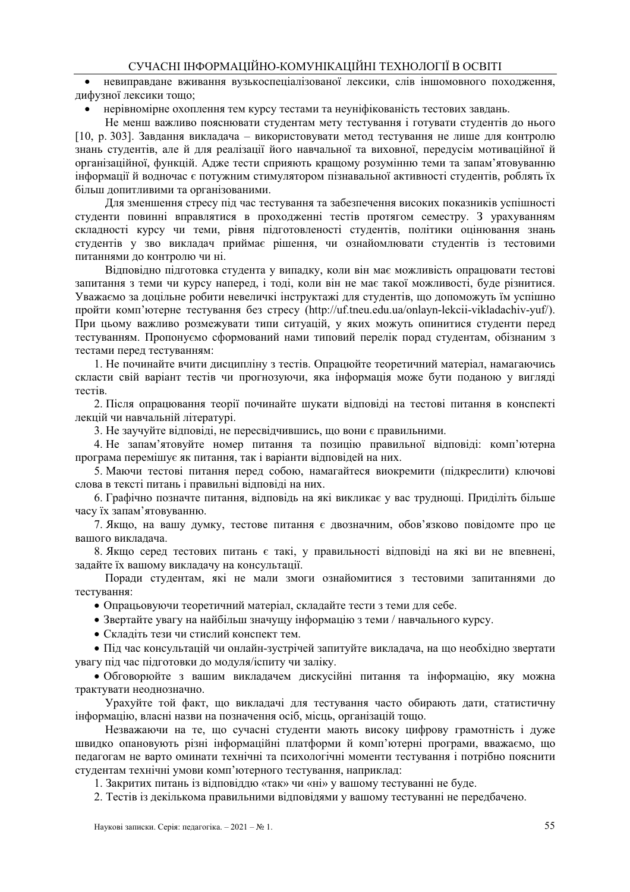невиправлане вживання вузькоспеціалізованої лексики, слів іншомовного похолження, лифузної лексики тошо:

нерівномірне охоплення тем курсу тестами та неуніфікованість тестових завдань.

Не менш важливо пояснювати студентам мету тестування і готувати студентів до нього [10, р. 303]. Завдання викладача - використовувати метод тестування не лише для контролю знань студентів, але й для реалізації його навчальної та виховної, передусім мотиваційної й організаційної, функцій. Адже тести сприяють кращому розумінню теми та запам'ятовуванню інформації й водночас є потужним стимулятором пізнавальної активності студентів, роблять їх більш допитливими та організованими.

Для зменшення стресу під час тестування та забезпечення високих показників успішності студенти повинні вправлятися в проходженні тестів протягом семестру. З урахуванням складності курсу чи теми, рівня підготовленості студентів, політики оцінювання знань студентів у зво викладач приймає рішення, чи ознайомлювати студентів із тестовими питаннями до контролю чи ні.

Відповідно підготовка студента у випадку, коли він має можливість опрацювати тестові запитання з теми чи курсу наперед, і тоді, коли він не має такої можливості, буде різнитися. Уважаемо за лоцільне робити невеличкі інструктажі для студентів, що допоможуть їм успішно пройти комп'ютерне тестування без стресу (http://uf.tneu.edu.ua/onlayn-lekcii-vikladachiv-yuf/). При цьому важливо розмежувати типи ситуацій, у яких можуть опинитися студенти перед тестуванням. Пропонуємо сформований нами типовий перелік порад студентам, обізнаним з тестами перед тестуванням:

1. Не починайте вчити дисципліну з тестів. Опрацюйте теоретичний матеріал, намагаючись скласти свій варіант тестів чи прогнозуючи, яка інформація може бути поданою у вигляді тестів.

2. Після опрацювання теорії починайте шукати вілповілі на тестові питання в конспекті лекцій чи навчальній літературі.

3. Не заучуйте відповіді, не пересвідчившись, що вони є правильними.

4. Не запам'ятовуйте номер питання та позицію правильної відповіді: комп'ютерна програма перемішує як питання, так і варіанти відповідей на них.

5. Маючи тестові питання перед собою, намагайтеся виокремити (підкреслити) ключові слова в тексті питань і правильні вілповілі на них.

6. Графічно позначте питання, відповідь на які викликає у вас труднощі. Приділіть більше часу їх запам'ятовуванню.

7. Якщо, на вашу думку, тестове питання є двозначним, обов'язково повідомте про це вашого викладача.

8. Якщо серед тестових питань є такі, у правильності відповіді на які ви не впевнені, задайте їх вашому викладачу на консультації.

Поради студентам, які не мали змоги ознайомитися з тестовими запитаннями до тестування:

• Опрацьовуючи теоретичний матеріал, складайте тести з теми для себе.

• Звертайте увагу на найбільш значущу інформацію з теми / навчального курсу.

• Складіть тези чи стислий конспект тем.

• Під час консультацій чи онлайн-зустрічей запитуйте викладача, на що необхідно звертати увагу під час підготовки до модуля/іспиту чи заліку.

• Обговорюйте з вашим викладачем дискусійні питання та інформацію, яку можна трактувати неоднозначно.

Урахуйте той факт, що викладачі для тестування часто обирають дати, статистичну інформацію, власні назви на позначення осіб, місць, організацій тощо.

Незважаючи на те, що сучасні студенти мають високу цифрову грамотність і дуже швилко опановують різні інформаційні платформи й комп'ютерні програми, вважаємо, що педагогам не варто оминати технічні та психологічні моменти тестування і потрібно пояснити студентам технічні умови комп'ютерного тестування, наприклад:

1. Закритих питань із відповіддю «так» чи «ні» у вашому тестуванні не буде.

2. Тестів із декількома правильними відповідями у вашому тестуванні не передбачено.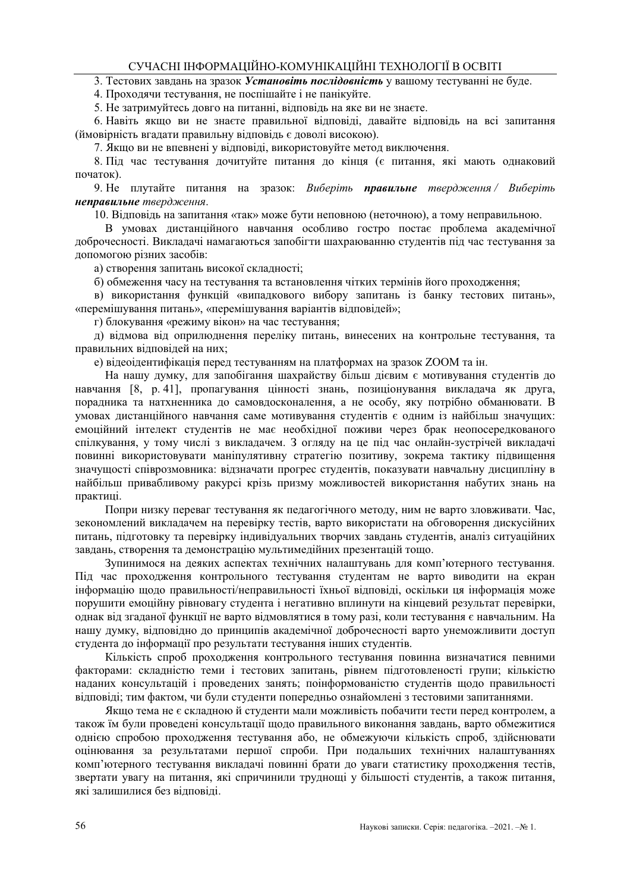3. Тестових завлань на зразок Установіть послідовність у вашому тестуванні не буле.

4. Проходячи тестування, не поспішайте і не панікуйте.

5. Не затримуйтесь довго на питанні, відповідь на яке ви не знаєте.

6. Навіть якщо ви не знаєте правильної відповіді, давайте відповідь на всі запитання (ймовірність вгадати правильну відповідь є доволі високою).

7. Якщо ви не впевнені у відповіді, використовуйте метод виключення.

8. Під час тестування дочитуйте питання до кінця (є питання, які мають однаковий початок).

9. Не плутайте питання на зразок: Виберіть правильне твердження / Виберіть неправильне твердження.

10. Відповідь на запитання «так» може бути неповною (неточною), а тому неправильною.

В умовах дистанційного навчання особливо гостро постає проблема академічної доброчесності. Викладачі намагаються запобігти шахраюванню студентів під час тестування за допомогою різних засобів:

а) створення запитань високої складності;

б) обмеження часу на тестування та встановлення чітких термінів його прохолження:

в) використання функцій «випадкового вибору запитань із банку тестових питань», «перемішування питань», «перемішування варіантів відповідей»;

г) блокування «режиму вікон» на час тестування;

д) відмова від оприлюднення переліку питань, винесених на контрольне тестування, та правильних відповідей на них:

е) відеоідентифікація перед тестуванням на платформах на зразок ZOOM та ін.

На нашу думку, для запобігання шахрайству більш дієвим є мотивування студентів до навчання [8, р.41], пропагування пінності знань, позиціонування викладача як друга, поралника та натхненника до самовлосконалення, а не особу, яку потрібно обманювати. В умовах дистанційного навчання саме мотивування студентів є одним із найбільш значущих: емоційний інтелект студентів не має необхідної поживи через брак неопосередкованого спілкування, у тому числі з викладачем. З огляду на це під час онлайн-зустрічей викладачі повинні використовувати маніпулятивну стратегію позитиву, зокрема тактику підвищення значущості співрозмовника: відзначати прогрес студентів, показувати навчальну дисципліну в найбільш привабливому ракурсі крізь призму можливостей використання набутих знань на практині.

Попри низку переваг тестування як педагогічного методу, ним не варто зловживати. Час, зекономлений викладачем на перевірку тестів, варто використати на обговорення дискусійних питань, підготовку та перевірку індивідуальних творчих завдань студентів, аналіз ситуаційних завдань, створення та демонстрацію мультимедійних презентацій тощо.

Зупинимося на деяких аспектах технічних налаштувань для комп'ютерного тестування. Піл час прохолження контрольного тестування стулентам не варто виволити на екран інформацію щодо правильності/неправильності їхньої відповіді, оскільки ця інформація може порушити емоційну рівновагу студента і негативно вплинути на кінцевий результат перевірки. однак від згаданої функції не варто відмовлятися в тому разі, коли тестування є навчальним. На нашу думку, відповідно до принципів академічної доброчесності варто унеможливити доступ студента до інформації про результати тестування інших студентів.

Кількість спроб проходження контрольного тестування повинна визначатися певними факторами: складністю теми і тестових запитань, рівнем підготовленості групи; кількістю наданих консультацій і проведених занять: поінформованістю студентів шодо правильності відповіді; тим фактом, чи були студенти попередньо ознайомлені з тестовими запитаннями.

Якщо тема не є складною й студенти мали можливість побачити тести перед контролем, а також їм були проведені консультації щодо правильного виконання завдань, варто обмежитися олнією спробою прохолження тестування або, не обмежуючи кількість спроб. злійснювати оцінювання за результатами першої спроби. При подальших технічних налаштуваннях комп'ютерного тестування викладачі повинні брати до уваги статистику проходження тестів, звертати увагу на питання, які спричинили труднощі у більшості студентів, а також питання, які залишилися без вілповілі.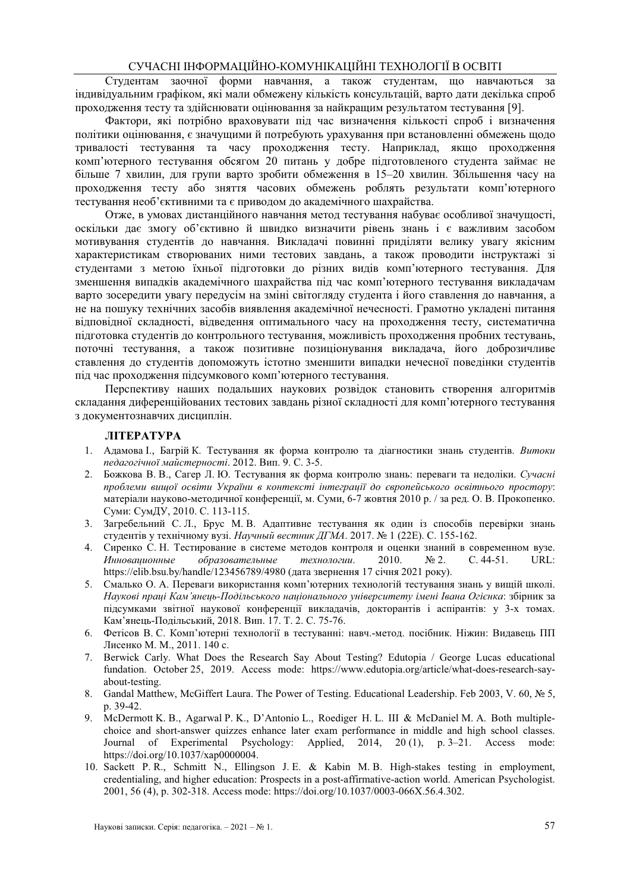Стулентам заочної форми навчання, а також стулентам, що навчаються за індивідуальним графіком, які мали обмежену кількість консультацій, варто дати декілька спроб проходження тесту та здійснювати оцінювання за найкращим результатом тестування [9].

Фактори, які потрібно враховувати під час визначення кількості спроб і визначення політики оцінювання, є значущими й потребують урахування при встановленні обмежень шодо тривалості тестування та часу проходження тесту. Наприклад, якщо проходження комп'ютерного тестування обсягом 20 питань у добре підготовленого студента займає не більше 7 хвилин, для групи варто зробити обмеження в 15-20 хвилин. Збільшення часу на проходження тесту або зняття часових обмежень роблять результати комп'ютерного тестування необ'єктивними та є приводом до академічного шахрайства.

Отже, в умовах дистанційного навчання метод тестування набуває особливої значущості, оскільки дає змогу об'єктивно й швидко визначити рівень знань і є важливим засобом мотивування студентів до навчання. Викладачі повинні приділяти велику увагу якісним характеристикам створюваних ними тестових завдань, а також проводити інструктажі зі студентами з метою їхньої підготовки до різних видів комп'ютерного тестування. Для зменшення випадків академічного шахрайства під час комп'ютерного тестування викладачам варто зосередити увагу передусім на зміні світогляду студента і його ставлення до навчання, а не на пошуку технічних засобів виявлення академічної нечесності. Грамотно укладені питання відповідної складності, відведення оптимального часу на проходження тесту, систематична підготовка студентів до контрольного тестування, можливість проходження пробних тестувань, поточні тестування, а також позитивне позиціонування викладача, його доброзичливе ставлення до студентів допоможуть істотно зменшити випадки нечесної поведінки студентів під час проходження підсумкового комп'ютерного тестування.

Перспективу наших подальших наукових розвідок становить створення алгоритмів склалання лиференційованих тестових завлань різної склалності лля комп'ютерного тестування з документознавчих дисциплін.

#### ЛІТЕРАТУРА

- 1. Адамова I., Багрій К. Тестування як форма контролю та діагностики знань студентів. Витоки педагогічної майстерності. 2012. Вип. 9. С. 3-5.
- $2.$ Божкова В. В., Сагер Л. Ю. Тестування як форма контролю знань: переваги та недоліки. Сучасні проблеми вищої освіти України в контексті інтеграції до європейського освітнього простору: матеріали науково-методичної конференції, м. Суми, 6-7 жовтня 2010 р. / за ред. О. В. Прокопенко. Суми: СумДУ, 2010. С. 113-115.
- Загребельний С. Л., Брус М. В. Алаптивне тестування як один із способів перевірки знань  $3.$ студентів у технічному вузі. Научный вестник ДГМА. 2017. № 1 (22Е). С. 155-162.
- 4. Сиренко С. Н. Тестирование в системе методов контроля и оценки знаний в современном вузе. Инновашионные образовательные технологии. 2010.  $N<sub>2</sub>$ .  $C.44-51.$ URL: https://elib.bsu.by/handle/123456789/4980 (дата звернення 17 січня 2021 року).
- 5. Смалько О. А. Переваги використання комп'ютерних технологій тестування знань у вищій школі. Наукові праці Кам'янець-Подільського національного університету імені Івана Огієнка: збірник за підсумками звітної наукової конференції викладачів, докторантів і аспірантів: у 3-х томах. Кам'янець-Подільський, 2018. Вип. 17. Т. 2. С. 75-76.
- 6. Фетісов В. С. Комп'ютерні технології в тестуванні: навч.-метол. посібник. Ніжин: Вилавець ПП Лисенко М. М., 2011. 140 с.
- 7. Berwick Carly, What Does the Research Say About Testing? Edutopia / George Lucas educational fundation. October 25, 2019. Access mode: https://www.edutopia.org/article/what-does-research-sayabout-testing.
- 8. Gandal Matthew, McGiffert Laura. The Power of Testing. Educational Leadership. Feb 2003, V. 60, № 5, p. 39-42.
- 9. McDermott K. B., Agarwal P. K., D'Antonio L., Roediger H. L. III & McDaniel M. A. Both multiplechoice and short-answer quizzes enhance later exam performance in middle and high school classes. Journal of Experimental Psychology: Applied, 2014, 20(1), p. 3–21. Access mode: https://doi.org/10.1037/xap0000004.
- 10. Sackett P. R., Schmitt N., Ellingson J. E. & Kabin M. B. High-stakes testing in employment, credentialing, and higher education: Prospects in a post-affirmative-action world. American Psychologist. 2001, 56 (4), p. 302-318. Access mode: https://doi.org/10.1037/0003-066X.56.4.302.